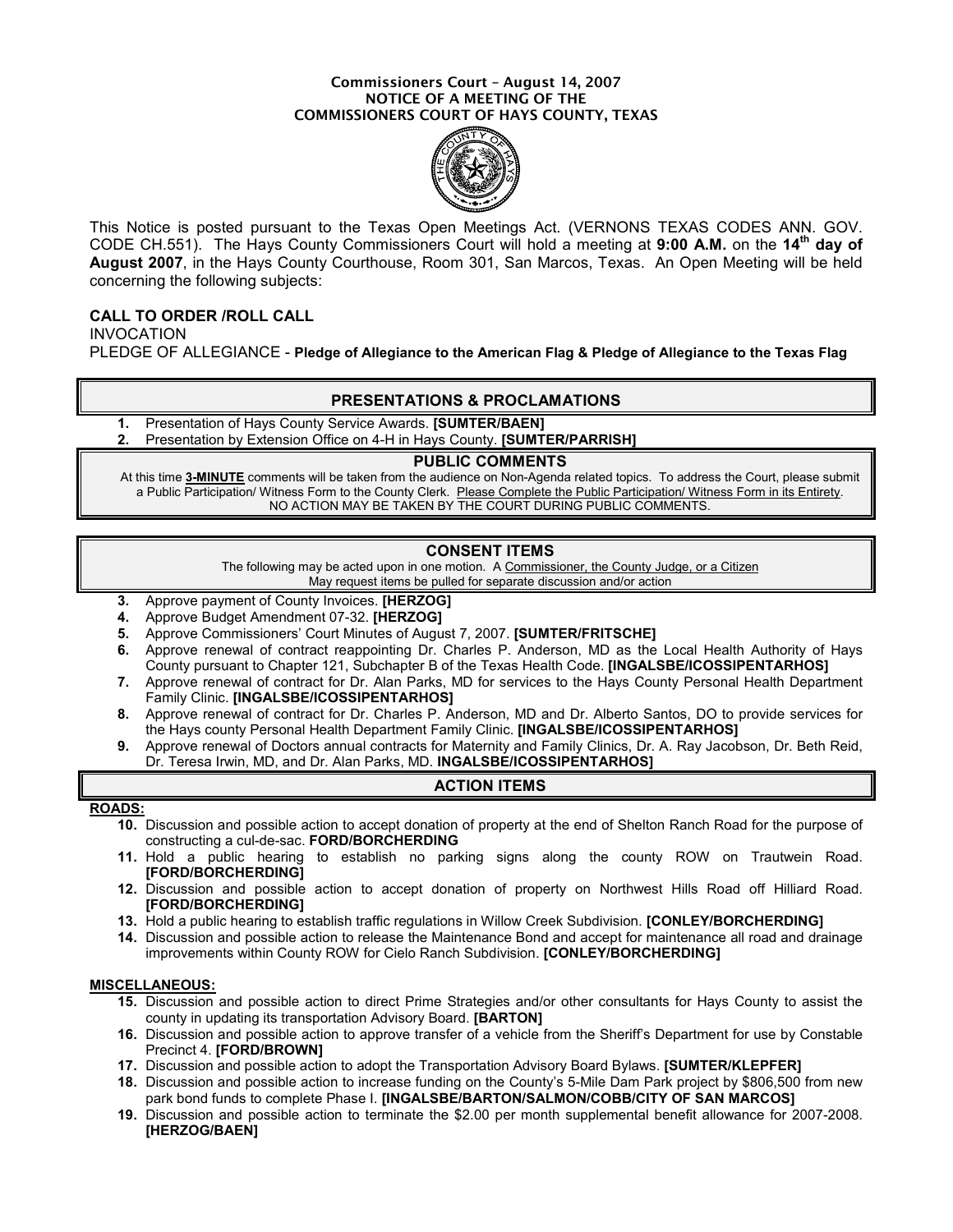#### Commissioners Court – August 14, 2007 NOTICE OF A MEETING OF THE COMMISSIONERS COURT OF HAYS COUNTY, TEXAS



This Notice is posted pursuant to the Texas Open Meetings Act. (VERNONS TEXAS CODES ANN. GOV. CODE CH.551). The Hays County Commissioners Court will hold a meeting at 9:00 A.M. on the 14<sup>th</sup> day of August 2007, in the Hays County Courthouse, Room 301, San Marcos, Texas. An Open Meeting will be held concerning the following subjects:

# CALL TO ORDER /ROLL CALL

INVOCATION PLEDGE OF ALLEGIANCE - Pledge of Allegiance to the American Flag & Pledge of Allegiance to the Texas Flag

## PRESENTATIONS & PROCLAMATIONS

- 1. Presentation of Hays County Service Awards. **[SUMTER/BAEN]**
- Presentation by Extension Office on 4-H in Hays County. [SUMTER/PARRISH]

#### PUBLIC COMMENTS

At this time 3-MINUTE comments will be taken from the audience on Non-Agenda related topics. To address the Court, please submit a Public Participation/ Witness Form to the County Clerk. Please Complete the Public Participation/ Witness Form in its Entirety. NO ACTION MAY BE TAKEN BY THE COURT DURING PUBLIC COMMENTS.

## CONSENT ITEMS

The following may be acted upon in one motion. A Commissioner, the County Judge, or a Citizen May request items be pulled for separate discussion and/or action

- 3. Approve payment of County Invoices. [HERZOG]
- 4. Approve Budget Amendment 07-32. [HERZOG]
- 5. Approve Commissioners' Court Minutes of August 7, 2007. [SUMTER/FRITSCHE]
- 6. Approve renewal of contract reappointing Dr. Charles P. Anderson, MD as the Local Health Authority of Hays County pursuant to Chapter 121, Subchapter B of the Texas Health Code. [INGALSBE/ICOSSIPENTARHOS]
- 7. Approve renewal of contract for Dr. Alan Parks, MD for services to the Hays County Personal Health Department Family Clinic. [INGALSBE/ICOSSIPENTARHOS]
- 8. Approve renewal of contract for Dr. Charles P. Anderson, MD and Dr. Alberto Santos, DO to provide services for the Hays county Personal Health Department Family Clinic. [INGALSBE/ICOSSIPENTARHOS]
- 9. Approve renewal of Doctors annual contracts for Maternity and Family Clinics, Dr. A. Ray Jacobson, Dr. Beth Reid, Dr. Teresa Irwin, MD, and Dr. Alan Parks, MD. INGALSBE/ICOSSIPENTARHOS]

# ACTION ITEMS

### ROADS:

- 10. Discussion and possible action to accept donation of property at the end of Shelton Ranch Road for the purpose of constructing a cul-de-sac. FORD/BORCHERDING
- 11. Hold a public hearing to establish no parking signs along the county ROW on Trautwein Road. [FORD/BORCHERDING]
- 12. Discussion and possible action to accept donation of property on Northwest Hills Road off Hilliard Road. [FORD/BORCHERDING]
- 13. Hold a public hearing to establish traffic regulations in Willow Creek Subdivision. [CONLEY/BORCHERDING]
- 14. Discussion and possible action to release the Maintenance Bond and accept for maintenance all road and drainage improvements within County ROW for Cielo Ranch Subdivision. [CONLEY/BORCHERDING]

### MISCELLANEOUS:

- 15. Discussion and possible action to direct Prime Strategies and/or other consultants for Hays County to assist the county in updating its transportation Advisory Board. [BARTON]
- 16. Discussion and possible action to approve transfer of a vehicle from the Sheriff's Department for use by Constable Precinct 4. [FORD/BROWN]
- 17. Discussion and possible action to adopt the Transportation Advisory Board Bylaws. [SUMTER/KLEPFER]
- 18. Discussion and possible action to increase funding on the County's 5-Mile Dam Park project by \$806,500 from new park bond funds to complete Phase I. [INGALSBE/BARTON/SALMON/COBB/CITY OF SAN MARCOS]
- 19. Discussion and possible action to terminate the \$2.00 per month supplemental benefit allowance for 2007-2008. [HERZOG/BAEN]